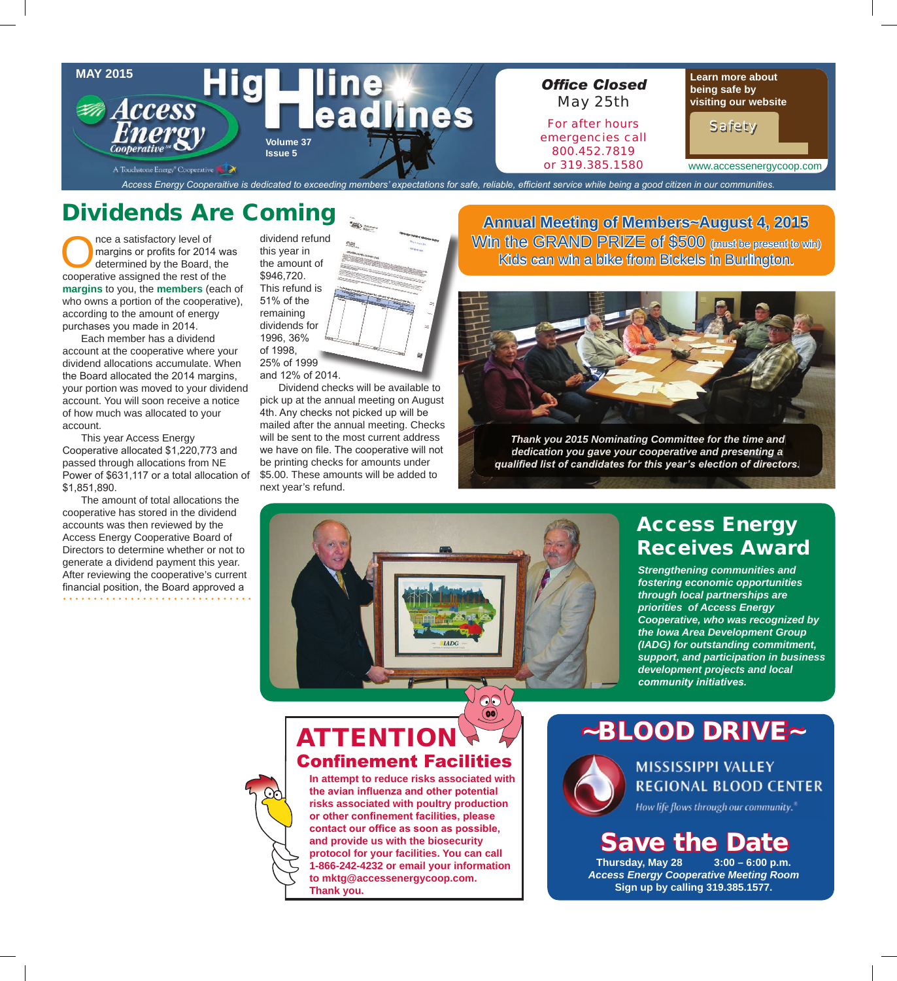

# Dividends Are Coming

The a satisfactory level of<br>
margins or profits for 2014 was<br>
determined by the Board, the<br>
cooperative assigned the rest of the margins or profits for 2014 was determined by the Board, the **margins** to you, the **members** (each of who owns a portion of the cooperative), according to the amount of energy purchases you made in 2014.

 Each member has a dividend account at the cooperative where your dividend allocations accumulate. When the Board allocated the 2014 margins, your portion was moved to your dividend account. You will soon receive a notice of how much was allocated to your account.

 This year Access Energy Cooperative allocated \$1,220,773 and passed through allocations from NE Power of \$631,117 or a total allocation of \$1,851,890.

 The amount of total allocations the cooperative has stored in the dividend accounts was then reviewed by the Access Energy Cooperative Board of Directors to determine whether or not to generate a dividend payment this year. After reviewing the cooperative's current financial position, the Board approved a

dividend refund this year in the amount of \$946,720. This refund is 51% of the remaining dividends for 1996, 36% of 1998, 25% of 1999

and 12% of 2014.

Dividend checks will be available to pick up at the annual meeting on August 4th. Any checks not picked up will be mailed after the annual meeting. Checks will be sent to the most current address we have on file. The cooperative will not be printing checks for amounts under \$5.00. These amounts will be added to next year's refund.

**Annual Meeting of Members~August 4, 2015** Win the GRAND PRIZE of \$500 (must be present to win) Kids can win a bike from Bickels in Burlington.



*Thank you 2015 Nominating Committee for the time and dedication you gave your cooperative and presenting a qualifi ed list of candidates for this year's election of directors.*



**(00)** 

## Access Energy Receives Award

*Strengthening communities and fostering economic opportunities through local partnerships are priorities of Access Energy Cooperative, who was recognized by the Iowa Area Development Group (IADG) for outstanding commitment, support, and participation in business development projects and local community initiatives.* 

## **ATTENTION Confinement Facilities**

**In attempt to reduce risks associated with**  the avian influenza and other potential **risks associated with poultry production**  or other confinement facilities, please contact our office as soon as possible, **and provide us with the biosecurity protocol for your facilities. You can call 1-866-242-4232 or email your information to mktg@accessenergycoop.com. Thank you.**

~BLOOD DRIVE~



## **MISSISSIPPI VALLEY REGIONAL BLOOD CENTER**

How life flows through our community.

# Save the Date

**Thursday, May 28 3:00 – 6:00 p.m.** *Access Energy Cooperative Meeting Room* **Sign up by calling 319.385.1577.**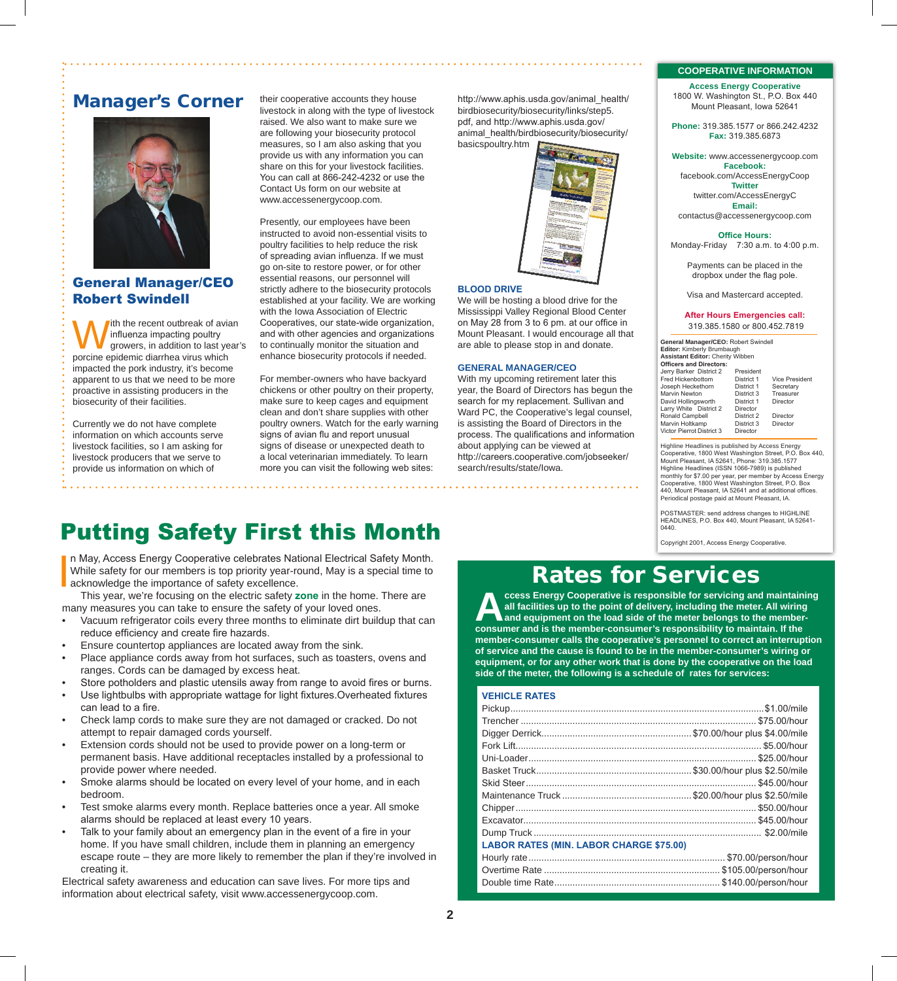## Manager's Corner



## General Manager/CEO Robert Swindell

With the recent outbreak of avian<br>influenza impacting poultry<br>porcine epidemic diarrhea virus which influenza impacting poultry growers, in addition to last year's porcine epidemic diarrhea virus which impacted the pork industry, it's become apparent to us that we need to be more proactive in assisting producers in the biosecurity of their facilities.

Currently we do not have complete information on which accounts serve livestock facilities, so I am asking for livestock producers that we serve to provide us information on which of

. . . . . . . . . . . . . . . . . . . .

their cooperative accounts they house livestock in along with the type of livestock raised. We also want to make sure we are following your biosecurity protocol measures, so I am also asking that you provide us with any information you can share on this for your livestock facilities. You can call at 866-242-4232 or use the Contact Us form on our website at www.accessenergycoop.com.

Presently, our employees have been instructed to avoid non-essential visits to poultry facilities to help reduce the risk of spreading avian influenza. If we must go on-site to restore power, or for other essential reasons, our personnel will strictly adhere to the biosecurity protocols established at your facility. We are working with the Iowa Association of Electric Cooperatives, our state-wide organization, and with other agencies and organizations to continually monitor the situation and enhance biosecurity protocols if needed.

For member-owners who have backyard chickens or other poultry on their property, make sure to keep cages and equipment clean and don't share supplies with other poultry owners. Watch for the early warning signs of avian flu and report unusual signs of disease or unexpected death to a local veterinarian immediately. To learn more you can visit the following web sites:

http://www.aphis.usda.gov/animal\_health/ birdbiosecurity/biosecurity/links/step5. pdf, and http://www.aphis.usda.gov/ animal\_health/birdbiosecurity/biosecurity/



#### **BLOOD DRIVE**

We will be hosting a blood drive for the Mississippi Valley Regional Blood Center on May 28 from 3 to 6 pm. at our office in Mount Pleasant. I would encourage all that are able to please stop in and donate.

## **GENERAL MANAGER/CEO**

With my upcoming retirement later this year, the Board of Directors has begun the search for my replacement. Sullivan and Ward PC, the Cooperative's legal counsel, is assisting the Board of Directors in the process. The qualifications and information about applying can be viewed at http://careers.cooperative.com/jobseeker/ search/results/state/Iowa.

#### **COOPERATIVE INFORMATION**

**Access Energy Cooperative** 1800 W. Washington St., P.O. Box 440

Mount Pleasant, Iowa 52641

**Phone:** 319.385.1577 or 866.242.4232 **Fax:** 319.385.6873

**Website:** www.accessenergycoop.com **Facebook:**

facebook.com/AccessEnergyCoop **Twitter** twitter.com/AccessEnergyC **Email:**

contactus@accessenergycoop.com

#### **Office Hours:**

Monday-Friday7:30 a.m. to 4:00 p.m.

Payments can be placed in the dropbox under the flag pole.

Visa and Mastercard accepted.

#### **After Hours Emergencies call:** 319.385.1580 or 800.452.7819

**General Manager/CEO:** Robert Swindell **Editor:** Kimberly Brumbaugh<br>**Assistant Editor:** Cherity Wibben<br>**Officers and Directors:** Jerry Barker District 2 President Fred Hickenbottom District 1 Vice President Joseph Heckethorn District 1 Secretary Marvin Newton District 3 Treasurer David Hollingsworth District 1 Director Larry White District 2 Director Ronald Campbell District 2 Director Marvin Holtkamp District 3 Director Victor Pierrot District 3 Director

Highline Headlines is published by Access Energy<br>Cooperative, 1800 West Washington Street, P.O. Box 440,<br>Mount Pleasant, IA 52641, Phone: 319.385.1577<br>Highline Headlines (ISSN 1066-7989) is published monthly for \$7.00 per year, per member by Access Energy Cooperative, 1800 West Washington Street, P.O. Box 440, Mount Pleasant, IA 52641 and at additional offi ces. Periodical postage paid at Mount Pleasant, IA.

POSTMASTER: send address changes to HIGHLINE HEADLINES, P.O. Box 440, Mount Pleasant, IA 52641- 0440.

Copyright 2001, Access Energy Cooperative.

# Putting Safety First this Month

In May, Access Energy Cooperative celebrates National Electrical Safety Month.<br>While safety for our members is top priority year-round, May is a special time to<br>acknowledge the importance of safety excellence.<br>This year, w While safety for our members is top priority year-round, May is a special time to acknowledge the importance of safety excellence.

 This year, we're focusing on the electric safety **zone** in the home. There are many measures you can take to ensure the safety of your loved ones.

- Vacuum refrigerator coils every three months to eliminate dirt buildup that can reduce efficiency and create fire hazards.
- Ensure countertop appliances are located away from the sink.
- Place appliance cords away from hot surfaces, such as toasters, ovens and ranges. Cords can be damaged by excess heat.
- Store potholders and plastic utensils away from range to avoid fires or burns.
- Use lightbulbs with appropriate wattage for light fixtures. Overheated fixtures can lead to a fire.
- Check lamp cords to make sure they are not damaged or cracked. Do not attempt to repair damaged cords yourself.
- Extension cords should not be used to provide power on a long-term or permanent basis. Have additional receptacles installed by a professional to provide power where needed.
- Smoke alarms should be located on every level of your home, and in each bedroom.
- Test smoke alarms every month. Replace batteries once a year. All smoke alarms should be replaced at least every 10 years.
- Talk to your family about an emergency plan in the event of a fire in your home. If you have small children, include them in planning an emergency escape route – they are more likely to remember the plan if they're involved in creating it.

Electrical safety awareness and education can save lives. For more tips and information about electrical safety, visit www.accessenergycoop.com.

## Rates for Services

**Access Energy Cooperative is responsible for servicing and maintaining all facilities up to the point of delivery, including the meter. All wiring and equipment on the load side of the meter belongs to the member-consumer all facilities up to the point of delivery, including the meter. All wiring and equipment on the load side of the meter belongs to the memberconsumer and is the member-consumer's responsibility to maintain. If the member-consumer calls the cooperative's personnel to correct an interruption of service and the cause is found to be in the member-consumer's wiring or equipment, or for any other work that is done by the cooperative on the load side of the meter, the following is a schedule of rates for services:**

## **VEHICLE RATES**

| <b>LABOR RATES (MIN. LABOR CHARGE \$75.00)</b> |  |
|------------------------------------------------|--|
|                                                |  |
|                                                |  |
|                                                |  |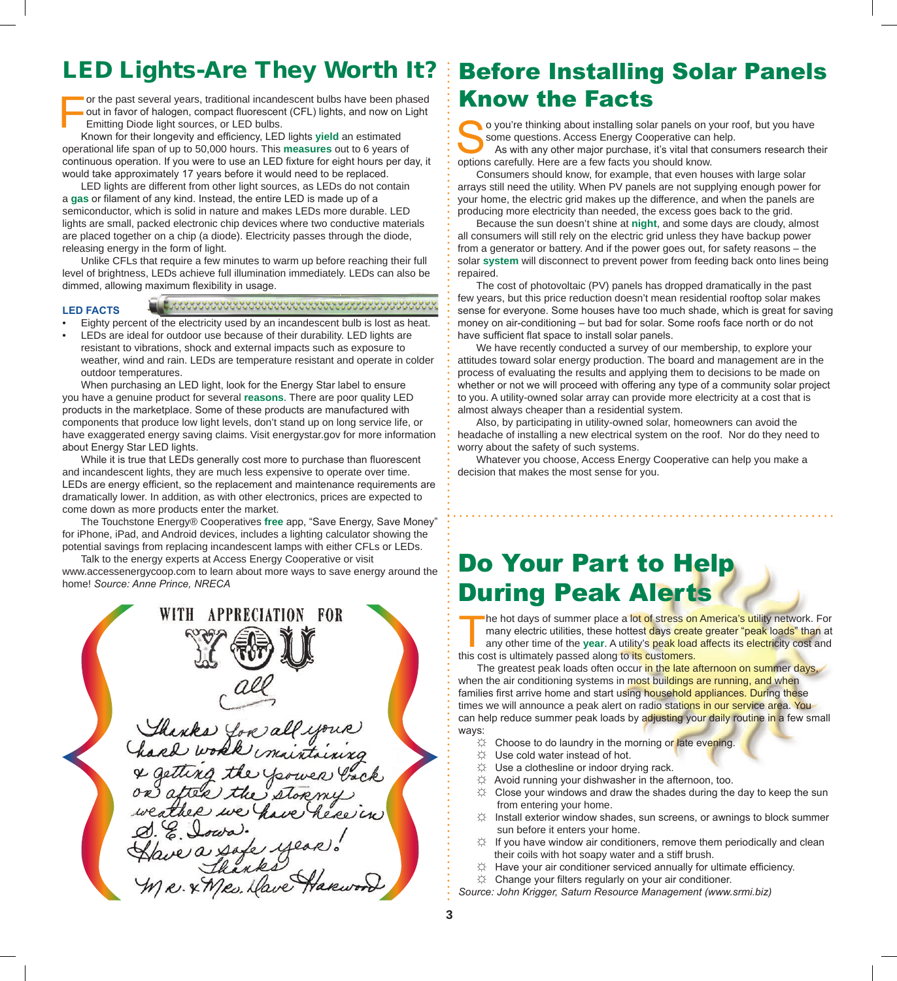For the past several years, traditional incandescent bulbs have been phased<br>out in favor of halogen, compact fluorescent (CFL) lights, and now on Light<br>Emitting Diode light sources, or LED bulbs.<br>Known for their longevity out in favor of halogen, compact fluorescent (CFL) lights, and now on Light Emitting Diode light sources, or LED bulbs.

Known for their longevity and efficiency, LED lights yield an estimated operational life span of up to 50,000 hours. This **measures** out to 6 years of continuous operation. If you were to use an LED fixture for eight hours per day, it would take approximately 17 years before it would need to be replaced.

 LED lights are different from other light sources, as LEDs do not contain a gas or filament of any kind. Instead, the entire LED is made up of a semiconductor, which is solid in nature and makes LEDs more durable. LED lights are small, packed electronic chip devices where two conductive materials are placed together on a chip (a diode). Electricity passes through the diode, releasing energy in the form of light.

 Unlike CFLs that require a few minutes to warm up before reaching their full level of brightness, LEDs achieve full illumination immediately. LEDs can also be dimmed, allowing maximum flexibility in usage.

### **LED FACTS**

• Eighty percent of the electricity used by an incandescent bulb is lost as heat. LEDs are ideal for outdoor use because of their durability. LED lights are resistant to vibrations, shock and external impacts such as exposure to weather, wind and rain. LEDs are temperature resistant and operate in colder outdoor temperatures.

When purchasing an LED light, look for the Energy Star label to ensure you have a genuine product for several **reasons**. There are poor quality LED products in the marketplace. Some of these products are manufactured with components that produce low light levels, don't stand up on long service life, or have exaggerated energy saving claims. Visit energystar.gov for more information about Energy Star LED lights.

While it is true that LEDs generally cost more to purchase than fluorescent and incandescent lights, they are much less expensive to operate over time. LEDs are energy efficient, so the replacement and maintenance requirements are dramatically lower. In addition, as with other electronics, prices are expected to come down as more products enter the market.

The Touchstone Energy® Cooperatives **free** app, "Save Energy, Save Money" for iPhone, iPad, and Android devices, includes a lighting calculator showing the potential savings from replacing incandescent lamps with either CFLs or LEDs.

 Talk to the energy experts at Access Energy Cooperative or visit www.accessenergycoop.com to learn about more ways to save energy around the home! *Source: Anne Prince, NRECA*

WITH **APPRECIATION** FOR. Thanks you all your & getting the frower ba<br>on after the stormy e a safe y R. X Mes. Dave Ha.

# LED Lights-Are They Worth It? | Before Installing Solar Panels Know the Facts

o you're thinking about installing solar panels on your roof, but you have some questions. Access Energy Cooperative can help.

 As with any other major purchase, it's vital that consumers research their options carefully. Here are a few facts you should know.

 Consumers should know, for example, that even houses with large solar arrays still need the utility. When PV panels are not supplying enough power for your home, the electric grid makes up the difference, and when the panels are producing more electricity than needed, the excess goes back to the grid.

 Because the sun doesn't shine at **night**, and some days are cloudy, almost all consumers will still rely on the electric grid unless they have backup power from a generator or battery. And if the power goes out, for safety reasons – the solar **system** will disconnect to prevent power from feeding back onto lines being repaired.

 The cost of photovoltaic (PV) panels has dropped dramatically in the past few years, but this price reduction doesn't mean residential rooftop solar makes sense for everyone. Some houses have too much shade, which is great for saving money on air-conditioning – but bad for solar. Some roofs face north or do not have sufficient flat space to install solar panels.

 We have recently conducted a survey of our membership, to explore your attitudes toward solar energy production. The board and management are in the process of evaluating the results and applying them to decisions to be made on whether or not we will proceed with offering any type of a community solar project to you. A utility-owned solar array can provide more electricity at a cost that is almost always cheaper than a residential system.

 Also, by participating in utility-owned solar, homeowners can avoid the headache of installing a new electrical system on the roof. Nor do they need to worry about the safety of such systems.

 Whatever you choose, Access Energy Cooperative can help you make a decision that makes the most sense for you.

# Do Your Part to Help During Peak Alerts

The hot days of summer place a lot of stress on America's utility network. For<br>many electric utilities, these hottest days create greater "peak loads" than at<br>any other time of the **year**. A utility's peak load affects its many electric utilities, these hottest <mark>da</mark>ys create greater "peak loads" than at any other time of the **year**. A utility's peak load affects its electricity cost and this cost is ultimately passed along to its customers.

The greatest peak loads often occur in the late afternoon on summer days, when the air conditioning systems in most buildings are running, and when families first arrive home and start using household appliances. During these times we will announce a peak alert on radio stations in our service area. You can help reduce summer peak loads by adjusting your daily routine in a few small ways:

- $\hat{X}$  Choose to do laundry in the morning or late evening.
- ☼ Use cold water instead of hot.
- ☼ Use a clothesline or indoor drying rack.
- ☼ Avoid running your dishwasher in the afternoon, too.
- $\uplus$  Close your windows and draw the shades during the day to keep the sun from entering your home.
- Install exterior window shades, sun screens, or awnings to block summer sun before it enters your home.
- $\uplus$  If you have window air conditioners, remove them periodically and clean their coils with hot soapy water and a stiff brush.
- Have your air conditioner serviced annually for ultimate efficiency.
- $\uplus$  Change your filters regularly on your air conditioner.

*Source: John Krigger, Saturn Resource Management (www.srmi.biz)*